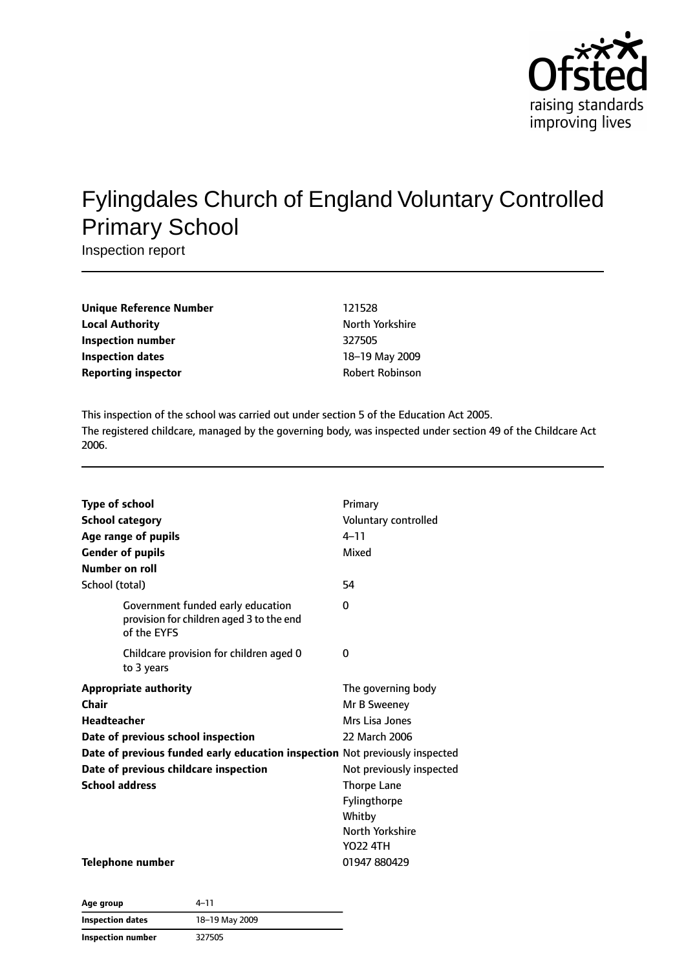

# Fylingdales Church of England Voluntary Controlled Primary School

Inspection report

| Unique Reference Number    | 121528                 |
|----------------------------|------------------------|
| Local Authority            | North Yorkshire        |
| Inspection number          | 327505                 |
| Inspection dates           | 18-19 May 2009         |
| <b>Reporting inspector</b> | <b>Robert Robinson</b> |
|                            |                        |

This inspection of the school was carried out under section 5 of the Education Act 2005. The registered childcare, managed by the governing body, was inspected under section 49 of the Childcare Act 2006.

| <b>Type of school</b><br><b>School category</b><br><b>Number on roll</b>                                                                                                                                                                    | Age range of pupils<br><b>Gender of pupils</b>                                               | Primary<br>Voluntary controlled<br>$4 - 11$<br>Mixed                                                                                              |
|---------------------------------------------------------------------------------------------------------------------------------------------------------------------------------------------------------------------------------------------|----------------------------------------------------------------------------------------------|---------------------------------------------------------------------------------------------------------------------------------------------------|
| School (total)                                                                                                                                                                                                                              |                                                                                              | 54                                                                                                                                                |
|                                                                                                                                                                                                                                             | Government funded early education<br>provision for children aged 3 to the end<br>of the EYFS | 0                                                                                                                                                 |
|                                                                                                                                                                                                                                             | Childcare provision for children aged 0<br>to 3 years                                        | 0                                                                                                                                                 |
| <b>Appropriate authority</b><br>Chair<br>Headteacher<br>Date of previous school inspection<br>Date of previous funded early education inspection Not previously inspected<br>Date of previous childcare inspection<br><b>School address</b> |                                                                                              | The governing body<br>Mr B Sweeney<br>Mrs Lisa Jones<br>22 March 2006<br>Not previously inspected<br><b>Thorpe Lane</b><br>Fylingthorpe<br>Whitby |
|                                                                                                                                                                                                                                             | <b>Telephone number</b>                                                                      | North Yorkshire<br>YO22 4TH<br>01947 880429                                                                                                       |

**Age group** 4–11 **Inspection dates** 18–19 May 2009 **Inspection number** 327505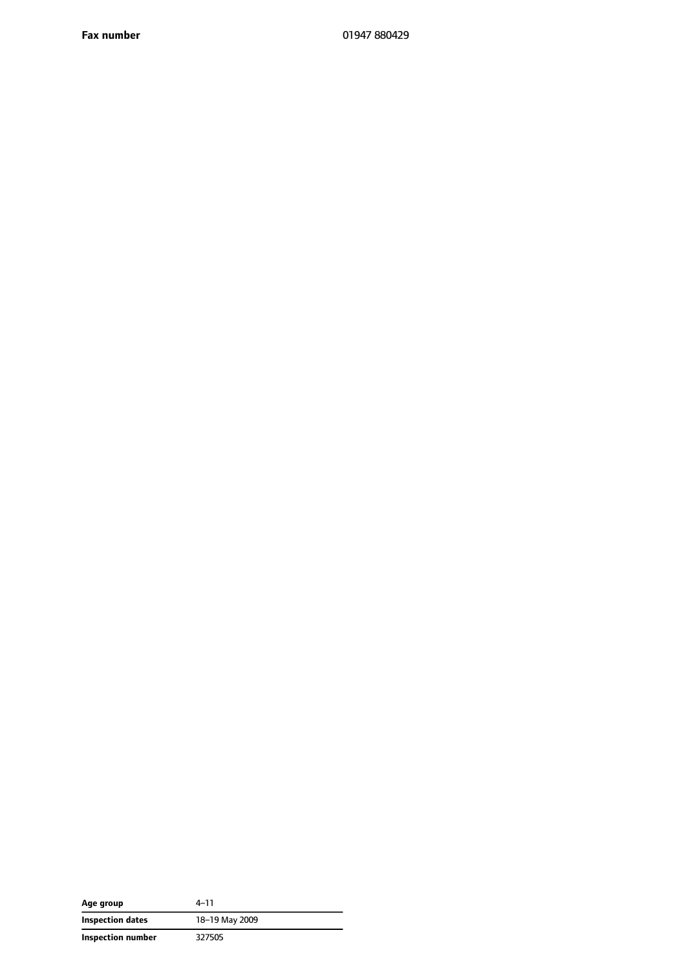| Age group         | 4–11           |
|-------------------|----------------|
| Inspection dates  | 18-19 May 2009 |
| Inspection number | 327505         |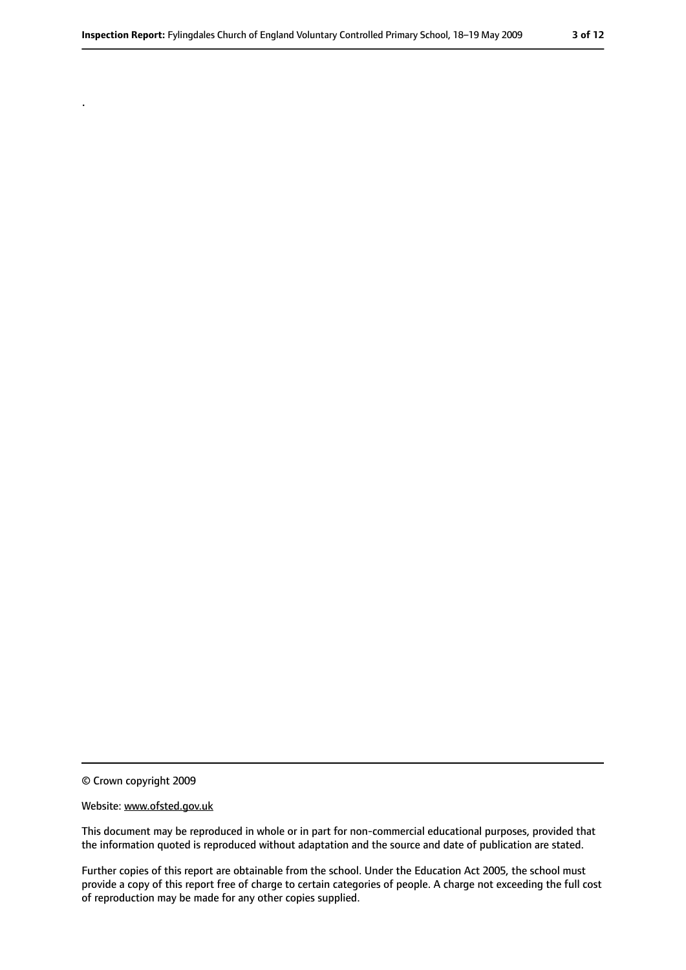© Crown copyright 2009

.

#### Website: www.ofsted.gov.uk

This document may be reproduced in whole or in part for non-commercial educational purposes, provided that the information quoted is reproduced without adaptation and the source and date of publication are stated.

Further copies of this report are obtainable from the school. Under the Education Act 2005, the school must provide a copy of this report free of charge to certain categories of people. A charge not exceeding the full cost of reproduction may be made for any other copies supplied.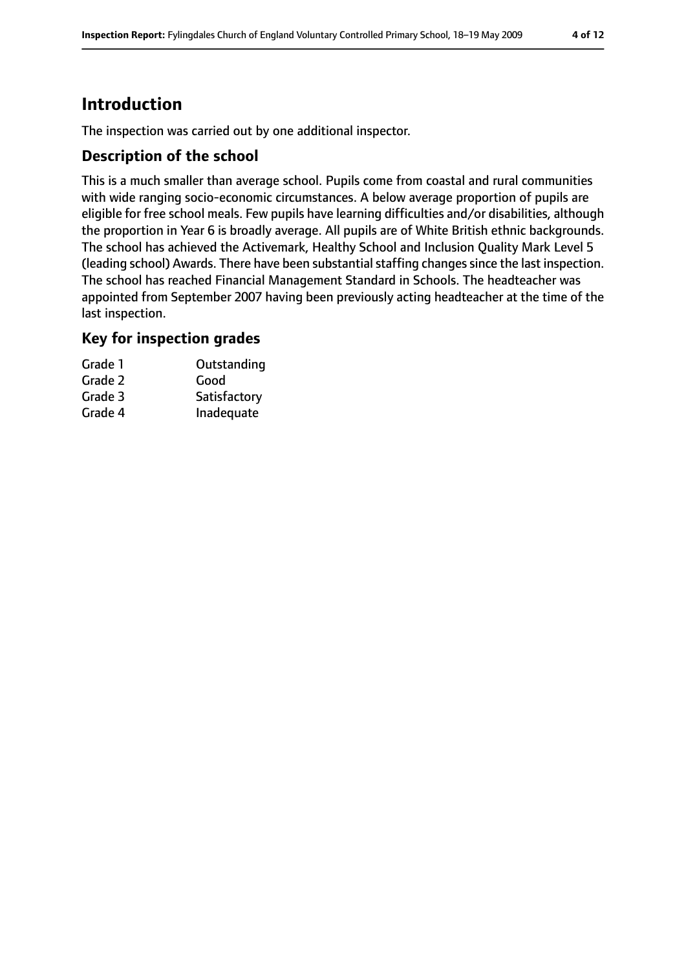# **Introduction**

The inspection was carried out by one additional inspector.

# **Description of the school**

This is a much smaller than average school. Pupils come from coastal and rural communities with wide ranging socio-economic circumstances. A below average proportion of pupils are eligible for free school meals. Few pupils have learning difficulties and/or disabilities, although the proportion in Year 6 is broadly average. All pupils are of White British ethnic backgrounds. The school has achieved the Activemark, Healthy School and Inclusion Quality Mark Level 5 (leading school) Awards. There have been substantial staffing changes since the last inspection. The school has reached Financial Management Standard in Schools. The headteacher was appointed from September 2007 having been previously acting headteacher at the time of the last inspection.

### **Key for inspection grades**

| Grade 1 | Outstanding  |
|---------|--------------|
| Grade 2 | Good         |
| Grade 3 | Satisfactory |
| Grade 4 | Inadequate   |
|         |              |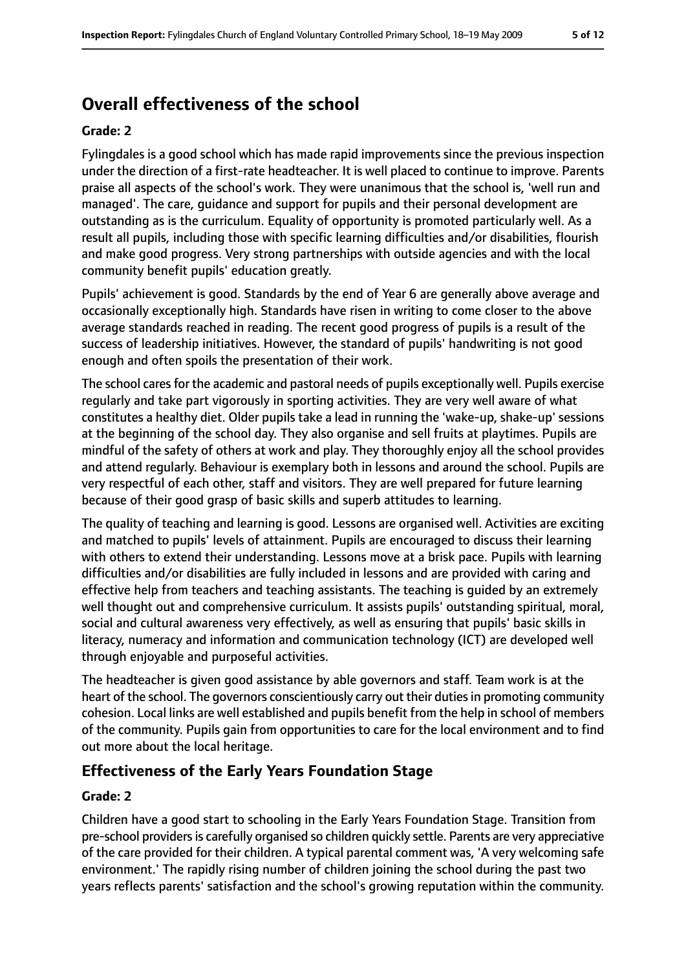# **Overall effectiveness of the school**

#### **Grade: 2**

Fylingdales is a good school which has made rapid improvements since the previous inspection under the direction of a first-rate headteacher. It is well placed to continue to improve. Parents praise all aspects of the school's work. They were unanimous that the school is, 'well run and managed'. The care, guidance and support for pupils and their personal development are outstanding as is the curriculum. Equality of opportunity is promoted particularly well. As a result all pupils, including those with specific learning difficulties and/or disabilities, flourish and make good progress. Very strong partnerships with outside agencies and with the local community benefit pupils' education greatly.

Pupils' achievement is good. Standards by the end of Year 6 are generally above average and occasionally exceptionally high. Standards have risen in writing to come closer to the above average standards reached in reading. The recent good progress of pupils is a result of the success of leadership initiatives. However, the standard of pupils' handwriting is not good enough and often spoils the presentation of their work.

The school cares for the academic and pastoral needs of pupils exceptionally well. Pupils exercise regularly and take part vigorously in sporting activities. They are very well aware of what constitutes a healthy diet. Older pupils take a lead in running the 'wake-up, shake-up' sessions at the beginning of the school day. They also organise and sell fruits at playtimes. Pupils are mindful of the safety of others at work and play. They thoroughly enjoy all the school provides and attend regularly. Behaviour is exemplary both in lessons and around the school. Pupils are very respectful of each other, staff and visitors. They are well prepared for future learning because of their good grasp of basic skills and superb attitudes to learning.

The quality of teaching and learning is good. Lessons are organised well. Activities are exciting and matched to pupils' levels of attainment. Pupils are encouraged to discuss their learning with others to extend their understanding. Lessons move at a brisk pace. Pupils with learning difficulties and/or disabilities are fully included in lessons and are provided with caring and effective help from teachers and teaching assistants. The teaching is guided by an extremely well thought out and comprehensive curriculum. It assists pupils' outstanding spiritual, moral, social and cultural awareness very effectively, as well as ensuring that pupils' basic skills in literacy, numeracy and information and communication technology (ICT) are developed well through enjoyable and purposeful activities.

The headteacher is given good assistance by able governors and staff. Team work is at the heart of the school. The governors conscientiously carry out their duties in promoting community cohesion. Local links are well established and pupils benefit from the help in school of members of the community. Pupils gain from opportunities to care for the local environment and to find out more about the local heritage.

# **Effectiveness of the Early Years Foundation Stage**

#### **Grade: 2**

Children have a good start to schooling in the Early Years Foundation Stage. Transition from pre-school providersis carefully organised so children quickly settle. Parents are very appreciative of the care provided for their children. A typical parental comment was, 'A very welcoming safe environment.' The rapidly rising number of children joining the school during the past two years reflects parents' satisfaction and the school's growing reputation within the community.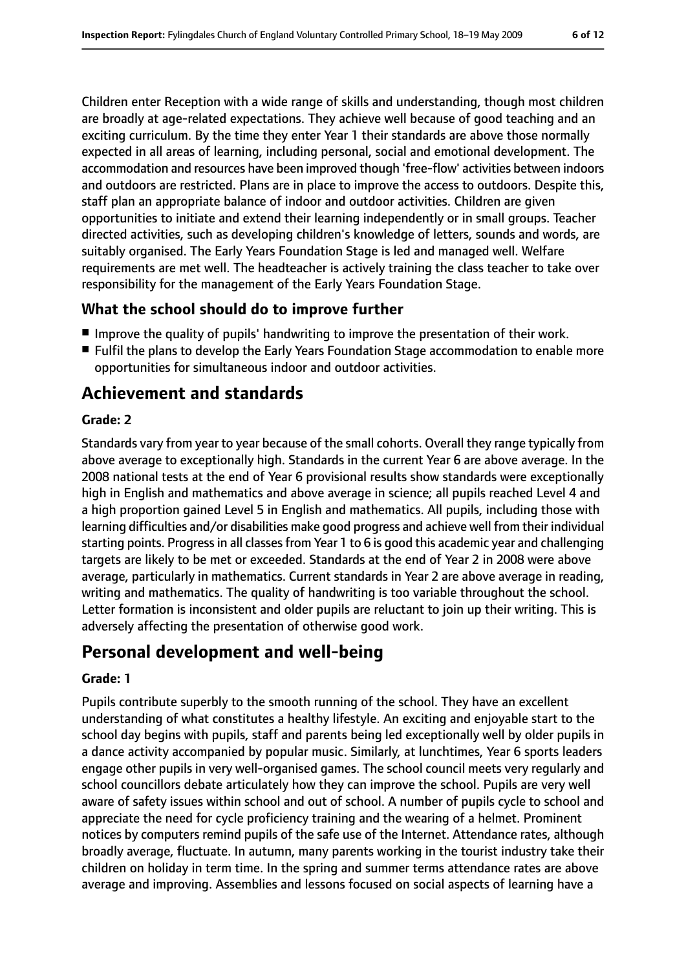Children enter Reception with a wide range of skills and understanding, though most children are broadly at age-related expectations. They achieve well because of good teaching and an exciting curriculum. By the time they enter Year 1 their standards are above those normally expected in all areas of learning, including personal, social and emotional development. The accommodation and resources have been improved though 'free-flow' activities between indoors and outdoors are restricted. Plans are in place to improve the access to outdoors. Despite this, staff plan an appropriate balance of indoor and outdoor activities. Children are given opportunities to initiate and extend their learning independently or in small groups. Teacher directed activities, such as developing children's knowledge of letters, sounds and words, are suitably organised. The Early Years Foundation Stage is led and managed well. Welfare requirements are met well. The headteacher is actively training the class teacher to take over responsibility for the management of the Early Years Foundation Stage.

# **What the school should do to improve further**

- Improve the quality of pupils' handwriting to improve the presentation of their work.
- Fulfil the plans to develop the Early Years Foundation Stage accommodation to enable more opportunities for simultaneous indoor and outdoor activities.

# **Achievement and standards**

#### **Grade: 2**

Standards vary from year to year because of the small cohorts. Overall they range typically from above average to exceptionally high. Standards in the current Year 6 are above average. In the 2008 national tests at the end of Year 6 provisional results show standards were exceptionally high in English and mathematics and above average in science; all pupils reached Level 4 and a high proportion gained Level 5 in English and mathematics. All pupils, including those with learning difficulties and/or disabilities make good progress and achieve well from their individual starting points. Progress in all classes from Year 1 to 6 is good this academic year and challenging targets are likely to be met or exceeded. Standards at the end of Year 2 in 2008 were above average, particularly in mathematics. Current standards in Year 2 are above average in reading, writing and mathematics. The quality of handwriting is too variable throughout the school. Letter formation is inconsistent and older pupils are reluctant to join up their writing. This is adversely affecting the presentation of otherwise good work.

# **Personal development and well-being**

#### **Grade: 1**

Pupils contribute superbly to the smooth running of the school. They have an excellent understanding of what constitutes a healthy lifestyle. An exciting and enjoyable start to the school day begins with pupils, staff and parents being led exceptionally well by older pupils in a dance activity accompanied by popular music. Similarly, at lunchtimes, Year 6 sports leaders engage other pupils in very well-organised games. The school council meets very regularly and school councillors debate articulately how they can improve the school. Pupils are very well aware of safety issues within school and out of school. A number of pupils cycle to school and appreciate the need for cycle proficiency training and the wearing of a helmet. Prominent notices by computers remind pupils of the safe use of the Internet. Attendance rates, although broadly average, fluctuate. In autumn, many parents working in the tourist industry take their children on holiday in term time. In the spring and summer terms attendance rates are above average and improving. Assemblies and lessons focused on social aspects of learning have a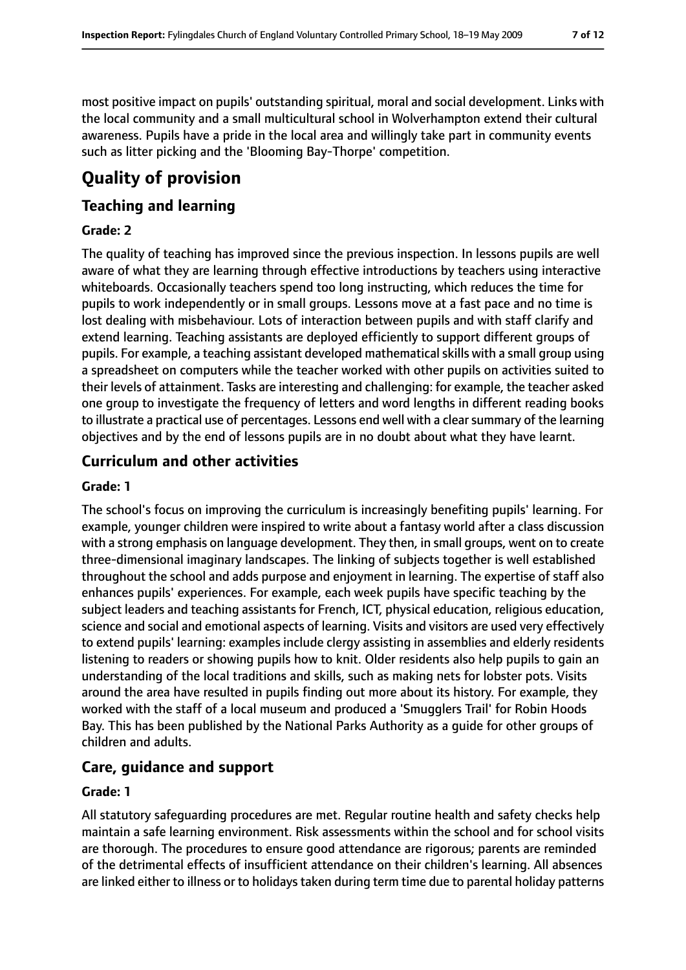most positive impact on pupils' outstanding spiritual, moral and social development. Links with the local community and a small multicultural school in Wolverhampton extend their cultural awareness. Pupils have a pride in the local area and willingly take part in community events such as litter picking and the 'Blooming Bay-Thorpe' competition.

# **Quality of provision**

# **Teaching and learning**

### **Grade: 2**

The quality of teaching has improved since the previous inspection. In lessons pupils are well aware of what they are learning through effective introductions by teachers using interactive whiteboards. Occasionally teachers spend too long instructing, which reduces the time for pupils to work independently or in small groups. Lessons move at a fast pace and no time is lost dealing with misbehaviour. Lots of interaction between pupils and with staff clarify and extend learning. Teaching assistants are deployed efficiently to support different groups of pupils. For example, a teaching assistant developed mathematical skills with a small group using a spreadsheet on computers while the teacher worked with other pupils on activities suited to their levels of attainment. Tasks are interesting and challenging: for example, the teacher asked one group to investigate the frequency of letters and word lengths in different reading books to illustrate a practical use of percentages. Lessons end well with a clearsummary of the learning objectives and by the end of lessons pupils are in no doubt about what they have learnt.

# **Curriculum and other activities**

#### **Grade: 1**

The school's focus on improving the curriculum is increasingly benefiting pupils' learning. For example, younger children were inspired to write about a fantasy world after a class discussion with a strong emphasis on language development. They then, in small groups, went on to create three-dimensional imaginary landscapes. The linking of subjects together is well established throughout the school and adds purpose and enjoyment in learning. The expertise of staff also enhances pupils' experiences. For example, each week pupils have specific teaching by the subject leaders and teaching assistants for French, ICT, physical education, religious education, science and social and emotional aspects of learning. Visits and visitors are used very effectively to extend pupils' learning: examples include clergy assisting in assemblies and elderly residents listening to readers or showing pupils how to knit. Older residents also help pupils to gain an understanding of the local traditions and skills, such as making nets for lobster pots. Visits around the area have resulted in pupils finding out more about its history. For example, they worked with the staff of a local museum and produced a 'Smugglers Trail' for Robin Hoods Bay. This has been published by the National Parks Authority as a guide for other groups of children and adults.

### **Care, guidance and support**

#### **Grade: 1**

All statutory safeguarding procedures are met. Regular routine health and safety checks help maintain a safe learning environment. Risk assessments within the school and for school visits are thorough. The procedures to ensure good attendance are rigorous; parents are reminded of the detrimental effects of insufficient attendance on their children's learning. All absences are linked either to illness or to holidays taken during term time due to parental holiday patterns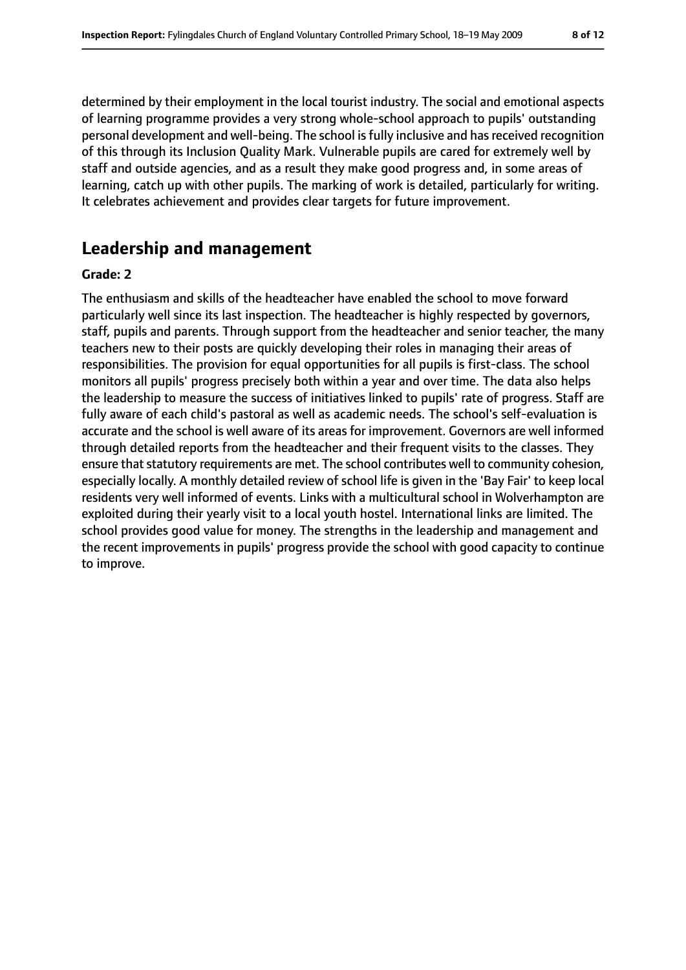determined by their employment in the local tourist industry. The social and emotional aspects of learning programme provides a very strong whole-school approach to pupils' outstanding personal development and well-being. The school is fully inclusive and has received recognition of this through its Inclusion Quality Mark. Vulnerable pupils are cared for extremely well by staff and outside agencies, and as a result they make good progress and, in some areas of learning, catch up with other pupils. The marking of work is detailed, particularly for writing. It celebrates achievement and provides clear targets for future improvement.

# **Leadership and management**

#### **Grade: 2**

The enthusiasm and skills of the headteacher have enabled the school to move forward particularly well since its last inspection. The headteacher is highly respected by governors, staff, pupils and parents. Through support from the headteacher and senior teacher, the many teachers new to their posts are quickly developing their roles in managing their areas of responsibilities. The provision for equal opportunities for all pupils is first-class. The school monitors all pupils' progress precisely both within a year and over time. The data also helps the leadership to measure the success of initiatives linked to pupils' rate of progress. Staff are fully aware of each child's pastoral as well as academic needs. The school's self-evaluation is accurate and the school is well aware of its areas for improvement. Governors are well informed through detailed reports from the headteacher and their frequent visits to the classes. They ensure that statutory requirements are met. The school contributes well to community cohesion, especially locally. A monthly detailed review of school life is given in the 'Bay Fair' to keep local residents very well informed of events. Links with a multicultural school in Wolverhampton are exploited during their yearly visit to a local youth hostel. International links are limited. The school provides good value for money. The strengths in the leadership and management and the recent improvements in pupils' progress provide the school with good capacity to continue to improve.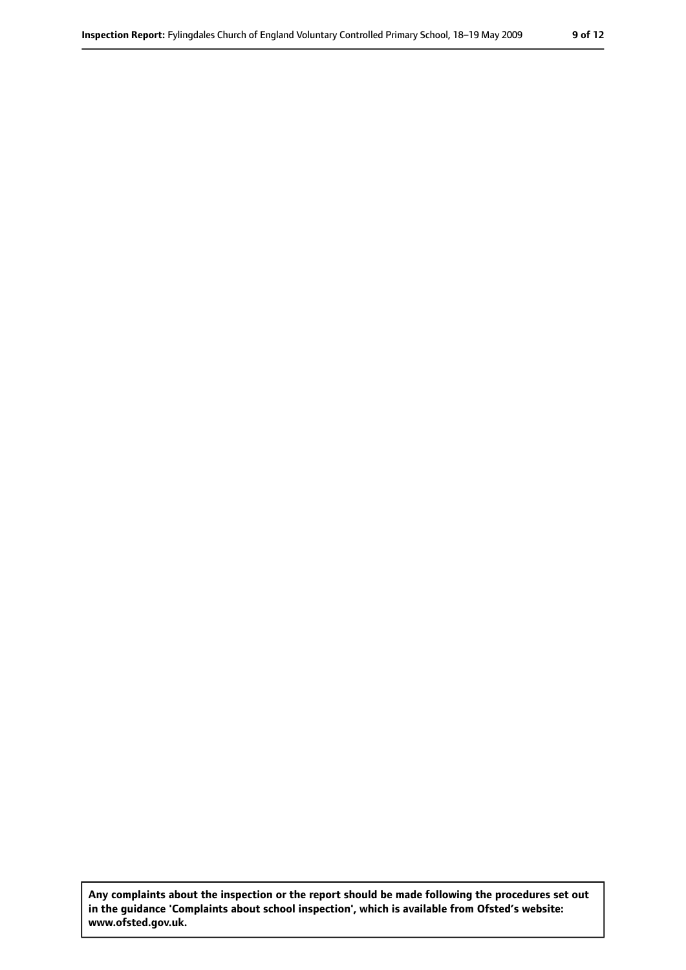**Any complaints about the inspection or the report should be made following the procedures set out in the guidance 'Complaints about school inspection', which is available from Ofsted's website: www.ofsted.gov.uk.**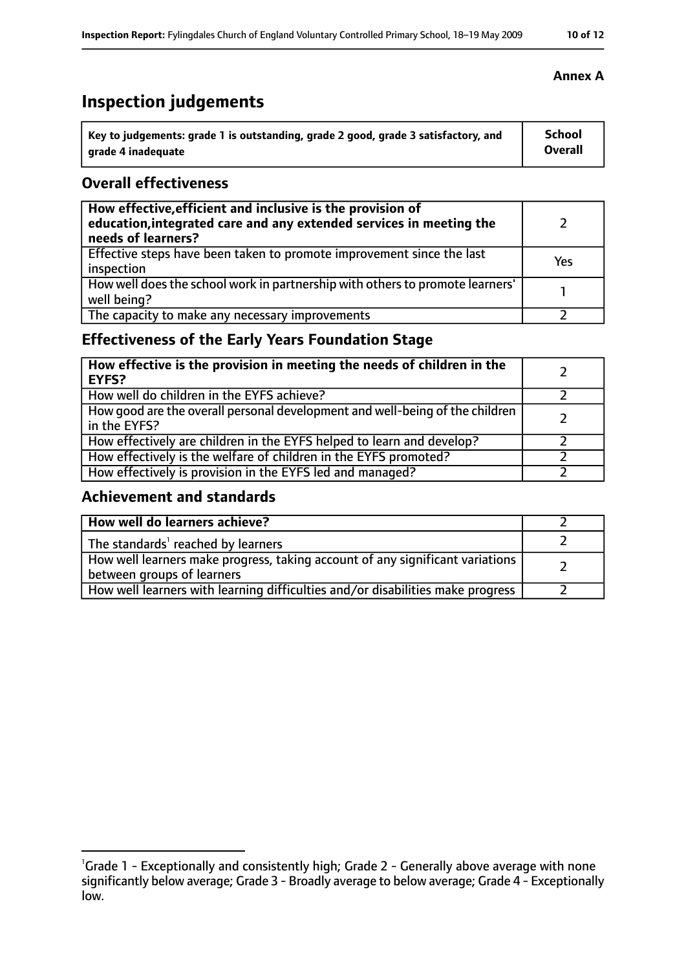# **Inspection judgements**

| $^{\backprime}$ Key to judgements: grade 1 is outstanding, grade 2 good, grade 3 satisfactory, and | <b>School</b>  |
|----------------------------------------------------------------------------------------------------|----------------|
| arade 4 inadequate                                                                                 | <b>Overall</b> |

# **Overall effectiveness**

| How effective, efficient and inclusive is the provision of<br>education, integrated care and any extended services in meeting the<br>needs of learners? |     |
|---------------------------------------------------------------------------------------------------------------------------------------------------------|-----|
| Effective steps have been taken to promote improvement since the last<br>inspection                                                                     | Yes |
| How well does the school work in partnership with others to promote learners'<br>well being?                                                            |     |
| The capacity to make any necessary improvements                                                                                                         |     |

# **Effectiveness of the Early Years Foundation Stage**

| How effective is the provision in meeting the needs of children in the<br><b>EYFS?</b>       |  |
|----------------------------------------------------------------------------------------------|--|
| How well do children in the EYFS achieve?                                                    |  |
| How good are the overall personal development and well-being of the children<br>in the EYFS? |  |
| How effectively are children in the EYFS helped to learn and develop?                        |  |
| How effectively is the welfare of children in the EYFS promoted?                             |  |
| How effectively is provision in the EYFS led and managed?                                    |  |

# **Achievement and standards**

| How well do learners achieve?                                                                               |  |
|-------------------------------------------------------------------------------------------------------------|--|
| The standards <sup>1</sup> reached by learners                                                              |  |
| How well learners make progress, taking account of any significant variations<br>between groups of learners |  |
| How well learners with learning difficulties and/or disabilities make progress                              |  |

# **Annex A**

<sup>&</sup>lt;sup>1</sup>Grade 1 - Exceptionally and consistently high; Grade 2 - Generally above average with none significantly below average; Grade 3 - Broadly average to below average; Grade 4 - Exceptionally low.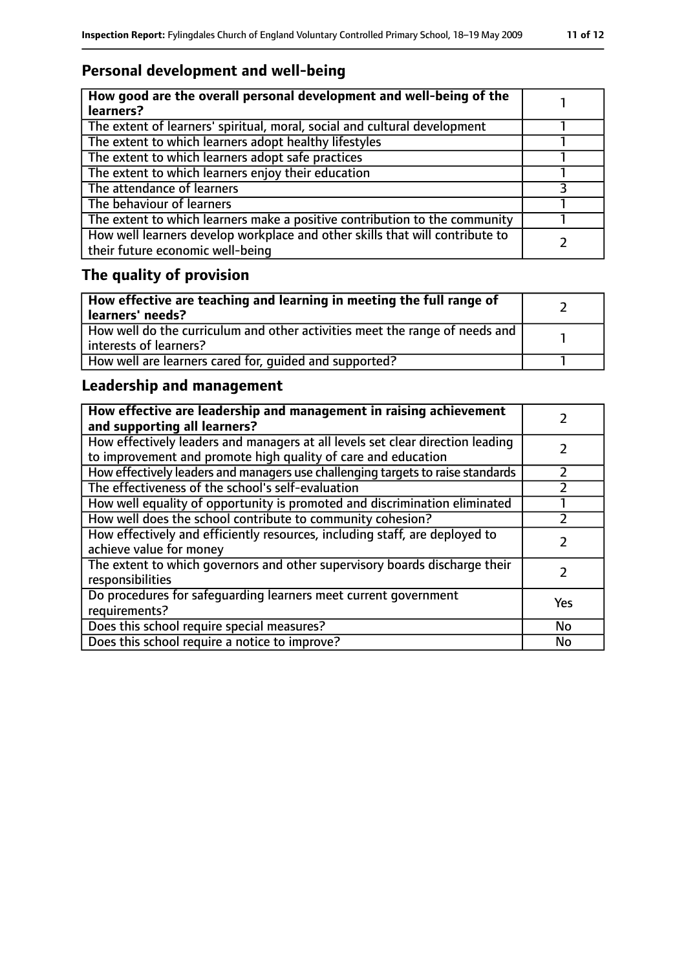# **Personal development and well-being**

| How good are the overall personal development and well-being of the<br>learners?                                 |  |
|------------------------------------------------------------------------------------------------------------------|--|
| The extent of learners' spiritual, moral, social and cultural development                                        |  |
| The extent to which learners adopt healthy lifestyles                                                            |  |
| The extent to which learners adopt safe practices                                                                |  |
| The extent to which learners enjoy their education                                                               |  |
| The attendance of learners                                                                                       |  |
| The behaviour of learners                                                                                        |  |
| The extent to which learners make a positive contribution to the community                                       |  |
| How well learners develop workplace and other skills that will contribute to<br>their future economic well-being |  |

# **The quality of provision**

| How effective are teaching and learning in meeting the full range of<br>learners' needs?              |  |
|-------------------------------------------------------------------------------------------------------|--|
| How well do the curriculum and other activities meet the range of needs and<br>interests of learners? |  |
| How well are learners cared for, quided and supported?                                                |  |

# **Leadership and management**

| How effective are leadership and management in raising achievement<br>and supporting all learners?                                              |     |
|-------------------------------------------------------------------------------------------------------------------------------------------------|-----|
| How effectively leaders and managers at all levels set clear direction leading<br>to improvement and promote high quality of care and education |     |
| How effectively leaders and managers use challenging targets to raise standards                                                                 |     |
| The effectiveness of the school's self-evaluation                                                                                               |     |
| How well equality of opportunity is promoted and discrimination eliminated                                                                      |     |
| How well does the school contribute to community cohesion?                                                                                      |     |
| How effectively and efficiently resources, including staff, are deployed to<br>achieve value for money                                          |     |
| The extent to which governors and other supervisory boards discharge their<br>responsibilities                                                  |     |
| Do procedures for safeguarding learners meet current government<br>requirements?                                                                | Yes |
| Does this school require special measures?                                                                                                      | No  |
| Does this school require a notice to improve?                                                                                                   | No  |